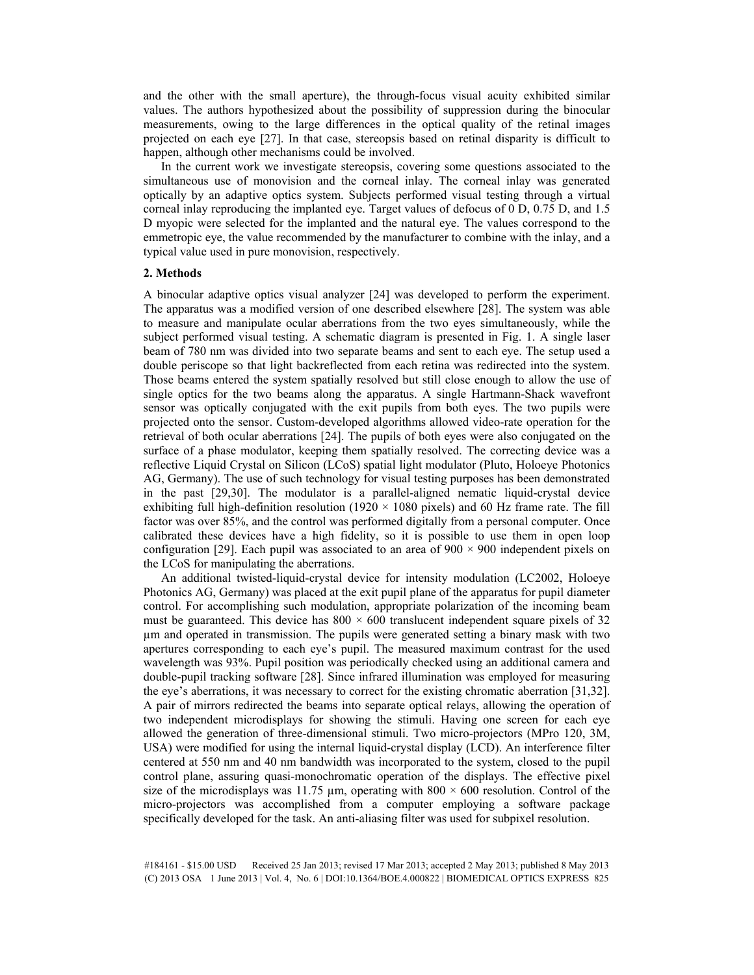and the other with the small aperture), the through-focus visual acuity exhibited similar values. The authors hypothesized about the possibility of suppression during the binocular measurements, owing to the large differences in the optical quality of the retinal images projected on each eye [27]. In that case, stereopsis based on retinal disparity is difficult to happen, although other mechanisms could be involved.

In the current work we investigate stereopsis, covering some questions associated to the simultaneous use of monovision and the corneal inlay. The corneal inlay was generated optically by an adaptive optics system. Subjects performed visual testing through a virtual corneal inlay reproducing the implanted eye. Target values of defocus of 0 D, 0.75 D, and 1.5 D myopic were selected for the implanted and the natural eye. The values correspond to the emmetropic eye, the value recommended by the manufacturer to combine with the inlay, and a typical value used in pure monovision, respectively.

## **2. Methods**

A binocular adaptive optics visual analyzer [24] was developed to perform the experiment. The apparatus was a modified version of one described elsewhere [28]. The system was able to measure and manipulate ocular aberrations from the two eyes simultaneously, while the subject performed visual testing. A schematic diagram is presented in Fig. 1. A single laser beam of 780 nm was divided into two separate beams and sent to each eye. The setup used a double periscope so that light backreflected from each retina was redirected into the system. Those beams entered the system spatially resolved but still close enough to allow the use of single optics for the two beams along the apparatus. A single Hartmann-Shack wavefront sensor was optically conjugated with the exit pupils from both eyes. The two pupils were projected onto the sensor. Custom-developed algorithms allowed video-rate operation for the retrieval of both ocular aberrations [24]. The pupils of both eyes were also conjugated on the surface of a phase modulator, keeping them spatially resolved. The correcting device was a reflective Liquid Crystal on Silicon (LCoS) spatial light modulator (Pluto, Holoeye Photonics AG, Germany). The use of such technology for visual testing purposes has been demonstrated in the past [29,30]. The modulator is a parallel-aligned nematic liquid-crystal device exhibiting full high-definition resolution (1920  $\times$  1080 pixels) and 60 Hz frame rate. The fill factor was over 85%, and the control was performed digitally from a personal computer. Once calibrated these devices have a high fidelity, so it is possible to use them in open loop configuration [29]. Each pupil was associated to an area of  $900 \times 900$  independent pixels on the LCoS for manipulating the aberrations.

An additional twisted-liquid-crystal device for intensity modulation (LC2002, Holoeye Photonics AG, Germany) was placed at the exit pupil plane of the apparatus for pupil diameter control. For accomplishing such modulation, appropriate polarization of the incoming beam must be guaranteed. This device has  $800 \times 600$  translucent independent square pixels of 32 µm and operated in transmission. The pupils were generated setting a binary mask with two apertures corresponding to each eye's pupil. The measured maximum contrast for the used wavelength was 93%. Pupil position was periodically checked using an additional camera and double-pupil tracking software [28]. Since infrared illumination was employed for measuring the eye's aberrations, it was necessary to correct for the existing chromatic aberration [31,32]. A pair of mirrors redirected the beams into separate optical relays, allowing the operation of two independent microdisplays for showing the stimuli. Having one screen for each eye allowed the generation of three-dimensional stimuli. Two micro-projectors (MPro 120, 3M, USA) were modified for using the internal liquid-crystal display (LCD). An interference filter centered at 550 nm and 40 nm bandwidth was incorporated to the system, closed to the pupil control plane, assuring quasi-monochromatic operation of the displays. The effective pixel size of the microdisplays was 11.75  $\mu$ m, operating with 800  $\times$  600 resolution. Control of the micro-projectors was accomplished from a computer employing a software package specifically developed for the task. An anti-aliasing filter was used for subpixel resolution.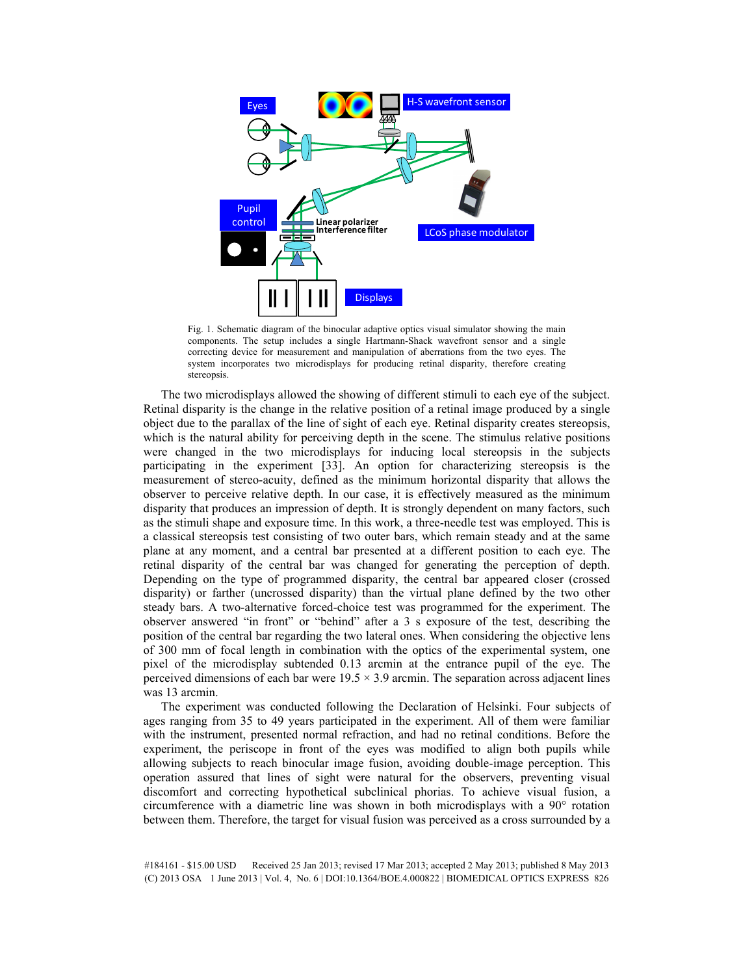

Fig. 1. Schematic diagram of the binocular adaptive optics visual simulator showing the main components. The setup includes a single Hartmann-Shack wavefront sensor and a single correcting device for measurement and manipulation of aberrations from the two eyes. The system incorporates two microdisplays for producing retinal disparity, therefore creating stereopsis.

The two microdisplays allowed the showing of different stimuli to each eye of the subject. Retinal disparity is the change in the relative position of a retinal image produced by a single object due to the parallax of the line of sight of each eye. Retinal disparity creates stereopsis, which is the natural ability for perceiving depth in the scene. The stimulus relative positions were changed in the two microdisplays for inducing local stereopsis in the subjects participating in the experiment [33]. An option for characterizing stereopsis is the measurement of stereo-acuity, defined as the minimum horizontal disparity that allows the observer to perceive relative depth. In our case, it is effectively measured as the minimum disparity that produces an impression of depth. It is strongly dependent on many factors, such as the stimuli shape and exposure time. In this work, a three-needle test was employed. This is a classical stereopsis test consisting of two outer bars, which remain steady and at the same plane at any moment, and a central bar presented at a different position to each eye. The retinal disparity of the central bar was changed for generating the perception of depth. Depending on the type of programmed disparity, the central bar appeared closer (crossed disparity) or farther (uncrossed disparity) than the virtual plane defined by the two other steady bars. A two-alternative forced-choice test was programmed for the experiment. The observer answered "in front" or "behind" after a 3 s exposure of the test, describing the position of the central bar regarding the two lateral ones. When considering the objective lens of 300 mm of focal length in combination with the optics of the experimental system, one pixel of the microdisplay subtended 0.13 arcmin at the entrance pupil of the eye. The perceived dimensions of each bar were  $19.5 \times 3.9$  arcmin. The separation across adjacent lines was 13 arcmin.

The experiment was conducted following the Declaration of Helsinki. Four subjects of ages ranging from 35 to 49 years participated in the experiment. All of them were familiar with the instrument, presented normal refraction, and had no retinal conditions. Before the experiment, the periscope in front of the eyes was modified to align both pupils while allowing subjects to reach binocular image fusion, avoiding double-image perception. This operation assured that lines of sight were natural for the observers, preventing visual discomfort and correcting hypothetical subclinical phorias. To achieve visual fusion, a circumference with a diametric line was shown in both microdisplays with a 90° rotation between them. Therefore, the target for visual fusion was perceived as a cross surrounded by a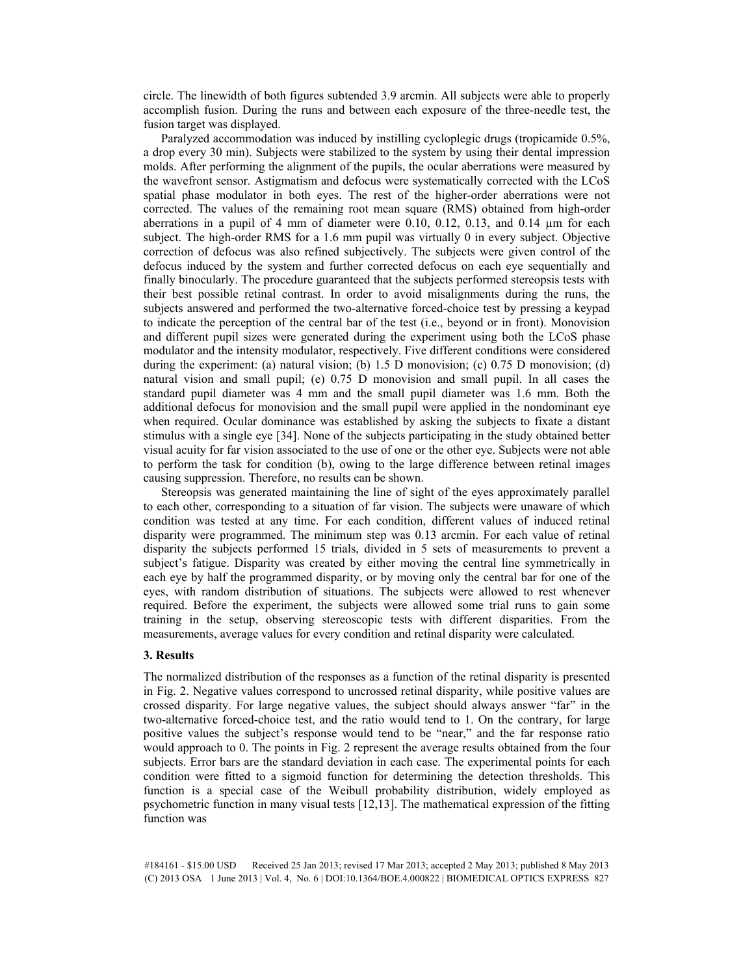circle. The linewidth of both figures subtended 3.9 arcmin. All subjects were able to properly accomplish fusion. During the runs and between each exposure of the three-needle test, the fusion target was displayed.

Paralyzed accommodation was induced by instilling cycloplegic drugs (tropicamide 0.5%, a drop every 30 min). Subjects were stabilized to the system by using their dental impression molds. After performing the alignment of the pupils, the ocular aberrations were measured by the wavefront sensor. Astigmatism and defocus were systematically corrected with the LCoS spatial phase modulator in both eyes. The rest of the higher-order aberrations were not corrected. The values of the remaining root mean square (RMS) obtained from high-order aberrations in a pupil of 4 mm of diameter were 0.10, 0.12, 0.13, and 0.14 µm for each subject. The high-order RMS for a 1.6 mm pupil was virtually 0 in every subject. Objective correction of defocus was also refined subjectively. The subjects were given control of the defocus induced by the system and further corrected defocus on each eye sequentially and finally binocularly. The procedure guaranteed that the subjects performed stereopsis tests with their best possible retinal contrast. In order to avoid misalignments during the runs, the subjects answered and performed the two-alternative forced-choice test by pressing a keypad to indicate the perception of the central bar of the test (i.e., beyond or in front). Monovision and different pupil sizes were generated during the experiment using both the LCoS phase modulator and the intensity modulator, respectively. Five different conditions were considered during the experiment: (a) natural vision; (b) 1.5 D monovision; (c) 0.75 D monovision; (d) natural vision and small pupil; (e) 0.75 D monovision and small pupil. In all cases the standard pupil diameter was 4 mm and the small pupil diameter was 1.6 mm. Both the additional defocus for monovision and the small pupil were applied in the nondominant eye when required. Ocular dominance was established by asking the subjects to fixate a distant stimulus with a single eye [34]. None of the subjects participating in the study obtained better visual acuity for far vision associated to the use of one or the other eye. Subjects were not able to perform the task for condition (b), owing to the large difference between retinal images causing suppression. Therefore, no results can be shown.

Stereopsis was generated maintaining the line of sight of the eyes approximately parallel to each other, corresponding to a situation of far vision. The subjects were unaware of which condition was tested at any time. For each condition, different values of induced retinal disparity were programmed. The minimum step was 0.13 arcmin. For each value of retinal disparity the subjects performed 15 trials, divided in 5 sets of measurements to prevent a subject's fatigue. Disparity was created by either moving the central line symmetrically in each eye by half the programmed disparity, or by moving only the central bar for one of the eyes, with random distribution of situations. The subjects were allowed to rest whenever required. Before the experiment, the subjects were allowed some trial runs to gain some training in the setup, observing stereoscopic tests with different disparities. From the measurements, average values for every condition and retinal disparity were calculated.

## **3. Results**

The normalized distribution of the responses as a function of the retinal disparity is presented in Fig. 2. Negative values correspond to uncrossed retinal disparity, while positive values are crossed disparity. For large negative values, the subject should always answer "far" in the two-alternative forced-choice test, and the ratio would tend to 1. On the contrary, for large positive values the subject's response would tend to be "near," and the far response ratio would approach to 0. The points in Fig. 2 represent the average results obtained from the four subjects. Error bars are the standard deviation in each case. The experimental points for each condition were fitted to a sigmoid function for determining the detection thresholds. This function is a special case of the Weibull probability distribution, widely employed as psychometric function in many visual tests [12,13]. The mathematical expression of the fitting function was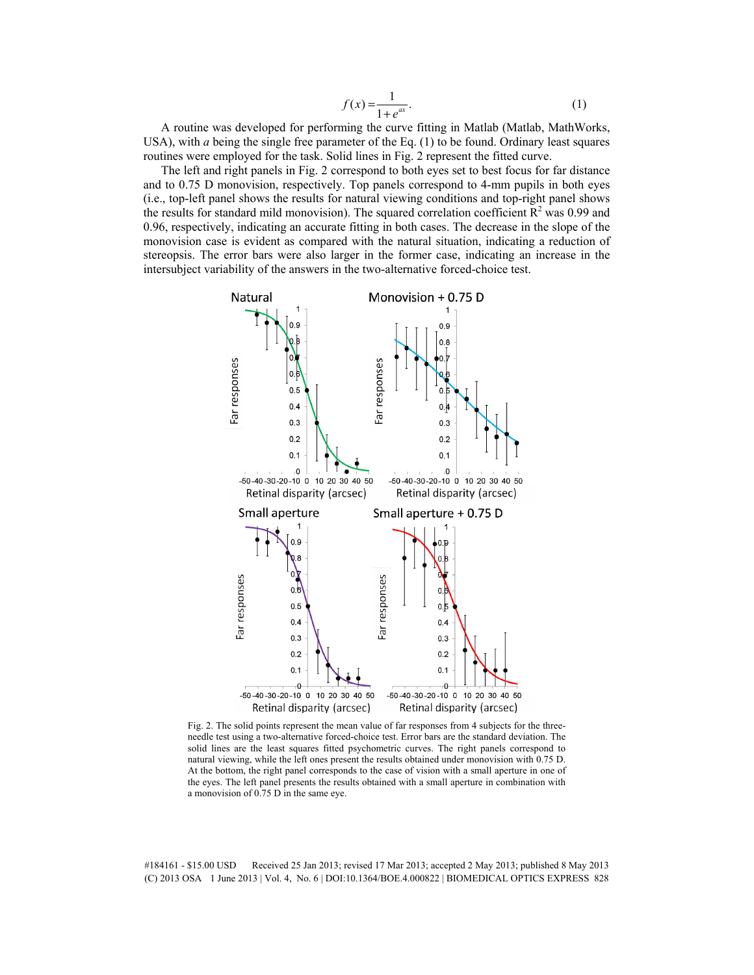$$
f(x) = \frac{1}{1 + e^{ax}}.\tag{1}
$$

A routine was developed for performing the curve fitting in Matlab (Matlab, MathWorks, USA), with *a* being the single free parameter of the Eq. (1) to be found. Ordinary least squares routines were employed for the task. Solid lines in Fig. 2 represent the fitted curve.

The left and right panels in Fig. 2 correspond to both eyes set to best focus for far distance and to 0.75 D monovision, respectively. Top panels correspond to 4-mm pupils in both eyes (i.e., top-left panel shows the results for natural viewing conditions and top-right panel shows the results for standard mild monovision). The squared correlation coefficient  $\mathbb{R}^2$  was 0.99 and 0.96, respectively, indicating an accurate fitting in both cases. The decrease in the slope of the monovision case is evident as compared with the natural situation, indicating a reduction of stereopsis. The error bars were also larger in the former case, indicating an increase in the intersubject variability of the answers in the two-alternative forced-choice test.



Fig. 2. The solid points represent the mean value of far responses from 4 subjects for the threeneedle test using a two-alternative forced-choice test. Error bars are the standard deviation. The solid lines are the least squares fitted psychometric curves. The right panels correspond to natural viewing, while the left ones present the results obtained under monovision with 0.75 D. At the bottom, the right panel corresponds to the case of vision with a small aperture in one of the eyes. The left panel presents the results obtained with a small aperture in combination with a monovision of 0.75 D in the same eye.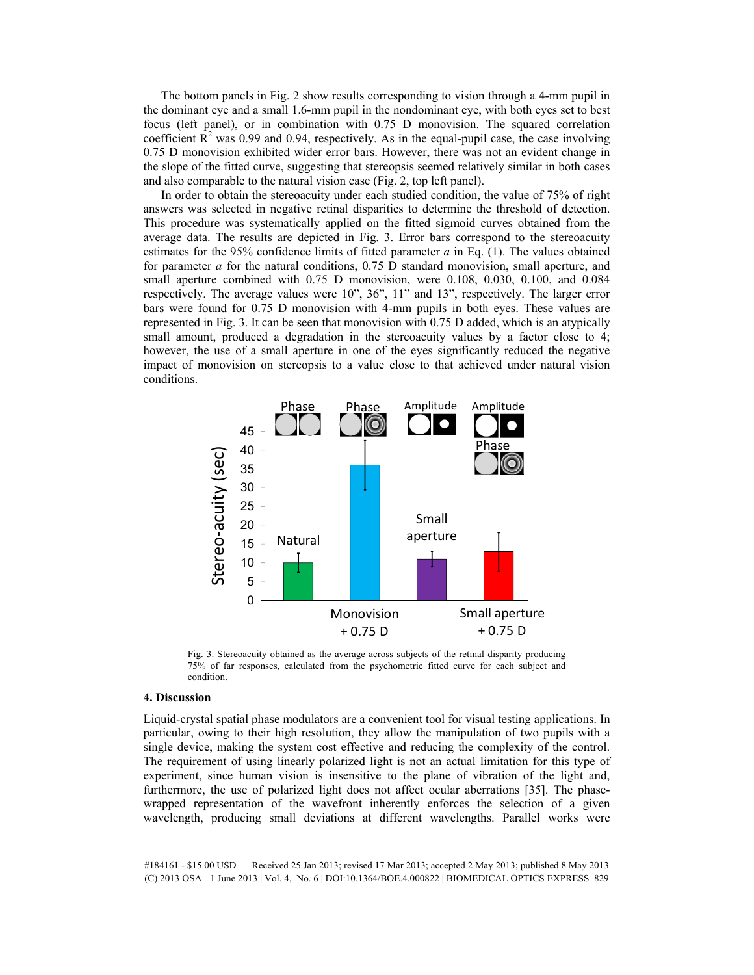The bottom panels in Fig. 2 show results corresponding to vision through a 4-mm pupil in the dominant eye and a small 1.6-mm pupil in the nondominant eye, with both eyes set to best focus (left panel), or in combination with 0.75 D monovision. The squared correlation coefficient  $\mathbb{R}^2$  was 0.99 and 0.94, respectively. As in the equal-pupil case, the case involving 0.75 D monovision exhibited wider error bars. However, there was not an evident change in the slope of the fitted curve, suggesting that stereopsis seemed relatively similar in both cases and also comparable to the natural vision case (Fig. 2, top left panel).

In order to obtain the stereoacuity under each studied condition, the value of 75% of right answers was selected in negative retinal disparities to determine the threshold of detection. This procedure was systematically applied on the fitted sigmoid curves obtained from the average data. The results are depicted in Fig. 3. Error bars correspond to the stereoacuity estimates for the 95% confidence limits of fitted parameter *a* in Eq. (1). The values obtained for parameter *a* for the natural conditions, 0.75 D standard monovision, small aperture, and small aperture combined with 0.75 D monovision, were 0.108, 0.030, 0.100, and 0.084 respectively. The average values were 10", 36", 11" and 13", respectively. The larger error bars were found for 0.75 D monovision with 4-mm pupils in both eyes. These values are represented in Fig. 3. It can be seen that monovision with 0.75 D added, which is an atypically small amount, produced a degradation in the stereoacuity values by a factor close to 4; however, the use of a small aperture in one of the eyes significantly reduced the negative impact of monovision on stereopsis to a value close to that achieved under natural vision conditions.



Fig. 3. Stereoacuity obtained as the average across subjects of the retinal disparity producing 75% of far responses, calculated from the psychometric fitted curve for each subject and condition.

## **4. Discussion**

Liquid-crystal spatial phase modulators are a convenient tool for visual testing applications. In particular, owing to their high resolution, they allow the manipulation of two pupils with a single device, making the system cost effective and reducing the complexity of the control. The requirement of using linearly polarized light is not an actual limitation for this type of experiment, since human vision is insensitive to the plane of vibration of the light and, furthermore, the use of polarized light does not affect ocular aberrations [35]. The phasewrapped representation of the wavefront inherently enforces the selection of a given wavelength, producing small deviations at different wavelengths. Parallel works were